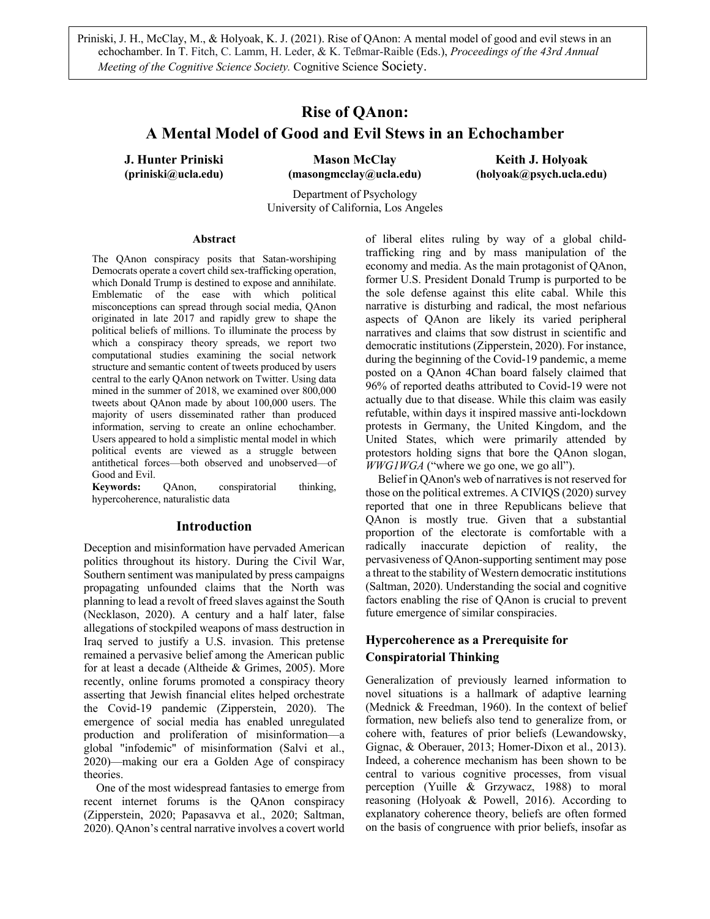Priniski, J. H., McClay, M., & Holyoak, K. J. (2021). Rise of QAnon: A mental model of good and evil stews in an echochamber. In T. Fitch, C. Lamm, H. Leder, & K. Teßmar-Raible (Eds.), *Proceedings of the 43rd Annual Meeting of the Cognitive Science Society.* Cognitive Science Society.

# **Rise of QAnon: A Mental Model of Good and Evil Stews in an Echochamber**

**J. Hunter Priniski Mason McClay Keith J. Holyoak (priniski@ucla.edu) (masongmcclay@ucla.edu) (holyoak@psych.ucla.edu)**

Department of Psychology University of California, Los Angeles

#### **Abstract**

The QAnon conspiracy posits that Satan-worshiping Democrats operate a covert child sex-trafficking operation, which Donald Trump is destined to expose and annihilate. Emblematic of the ease with which political misconceptions can spread through social media, QAnon originated in late 2017 and rapidly grew to shape the political beliefs of millions. To illuminate the process by which a conspiracy theory spreads, we report two computational studies examining the social network structure and semantic content of tweets produced by users central to the early QAnon network on Twitter. Using data mined in the summer of 2018, we examined over 800,000 tweets about QAnon made by about 100,000 users. The majority of users disseminated rather than produced information, serving to create an online echochamber. Users appeared to hold a simplistic mental model in which political events are viewed as a struggle between antithetical forces—both observed and unobserved—of Good and Evil.

**Keywords:** QAnon, conspiratorial thinking, hypercoherence, naturalistic data

#### **Introduction**

Deception and misinformation have pervaded American politics throughout its history. During the Civil War, Southern sentiment was manipulated by press campaigns propagating unfounded claims that the North was planning to lead a revolt of freed slaves against the South (Necklason, 2020). A century and a half later, false allegations of stockpiled weapons of mass destruction in Iraq served to justify a U.S. invasion. This pretense remained a pervasive belief among the American public for at least a decade (Altheide & Grimes, 2005). More recently, online forums promoted a conspiracy theory asserting that Jewish financial elites helped orchestrate the Covid-19 pandemic (Zipperstein, 2020). The emergence of social media has enabled unregulated production and proliferation of misinformation––a global "infodemic" of misinformation (Salvi et al., 2020)—making our era a Golden Age of conspiracy theories.

One of the most widespread fantasies to emerge from recent internet forums is the QAnon conspiracy (Zipperstein, 2020; Papasavva et al., 2020; Saltman, 2020). QAnon's central narrative involves a covert world of liberal elites ruling by way of a global childtrafficking ring and by mass manipulation of the economy and media. As the main protagonist of QAnon, former U.S. President Donald Trump is purported to be the sole defense against this elite cabal. While this narrative is disturbing and radical, the most nefarious aspects of QAnon are likely its varied peripheral narratives and claims that sow distrust in scientific and democratic institutions (Zipperstein, 2020). For instance, during the beginning of the Covid-19 pandemic, a meme posted on a QAnon 4Chan board falsely claimed that 96% of reported deaths attributed to Covid-19 were not actually due to that disease. While this claim was easily refutable, within days it inspired massive anti-lockdown protests in Germany, the United Kingdom, and the United States, which were primarily attended by protestors holding signs that bore the QAnon slogan, *WWG1WGA* ("where we go one, we go all").

Belief in QAnon's web of narratives is not reserved for those on the political extremes. A CIVIQS (2020) survey reported that one in three Republicans believe that QAnon is mostly true. Given that a substantial proportion of the electorate is comfortable with a radically inaccurate depiction of reality, the pervasiveness of QAnon-supporting sentiment may pose a threat to the stability of Western democratic institutions (Saltman, 2020). Understanding the social and cognitive factors enabling the rise of QAnon is crucial to prevent future emergence of similar conspiracies.

# **Hypercoherence as a Prerequisite for Conspiratorial Thinking**

Generalization of previously learned information to novel situations is a hallmark of adaptive learning (Mednick & Freedman, 1960). In the context of belief formation, new beliefs also tend to generalize from, or cohere with, features of prior beliefs (Lewandowsky, Gignac, & Oberauer, 2013; Homer-Dixon et al., 2013). Indeed, a coherence mechanism has been shown to be central to various cognitive processes, from visual perception (Yuille & Grzywacz, 1988) to moral reasoning (Holyoak & Powell, 2016). According to explanatory coherence theory, beliefs are often formed on the basis of congruence with prior beliefs, insofar as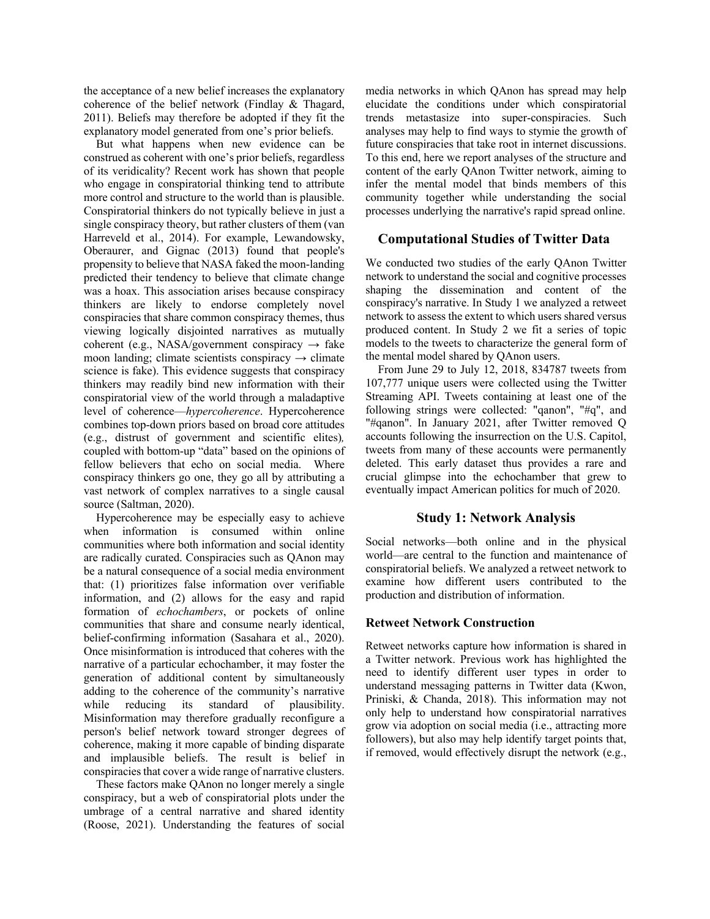the acceptance of a new belief increases the explanatory coherence of the belief network (Findlay & Thagard, 2011). Beliefs may therefore be adopted if they fit the explanatory model generated from one's prior beliefs.

But what happens when new evidence can be construed as coherent with one's prior beliefs, regardless of its veridicality? Recent work has shown that people who engage in conspiratorial thinking tend to attribute more control and structure to the world than is plausible. Conspiratorial thinkers do not typically believe in just a single conspiracy theory, but rather clusters of them (van Harreveld et al., 2014). For example, Lewandowsky, Oberaurer, and Gignac (2013) found that people's propensity to believe that NASA faked the moon-landing predicted their tendency to believe that climate change was a hoax. This association arises because conspiracy thinkers are likely to endorse completely novel conspiracies that share common conspiracy themes, thus viewing logically disjointed narratives as mutually coherent (e.g., NASA/government conspiracy  $\rightarrow$  fake moon landing; climate scientists conspiracy  $\rightarrow$  climate science is fake). This evidence suggests that conspiracy thinkers may readily bind new information with their conspiratorial view of the world through a maladaptive level of coherence––*hypercoherence*. Hypercoherence combines top-down priors based on broad core attitudes (e.g., distrust of government and scientific elites)*,*  coupled with bottom-up "data" based on the opinions of fellow believers that echo on social media. Where conspiracy thinkers go one, they go all by attributing a vast network of complex narratives to a single causal source (Saltman, 2020).

Hypercoherence may be especially easy to achieve when information is consumed within online communities where both information and social identity are radically curated. Conspiracies such as QAnon may be a natural consequence of a social media environment that: (1) prioritizes false information over verifiable information, and (2) allows for the easy and rapid formation of *echochambers*, or pockets of online communities that share and consume nearly identical, belief-confirming information (Sasahara et al., 2020). Once misinformation is introduced that coheres with the narrative of a particular echochamber, it may foster the generation of additional content by simultaneously adding to the coherence of the community's narrative while reducing its standard of plausibility. Misinformation may therefore gradually reconfigure a person's belief network toward stronger degrees of coherence, making it more capable of binding disparate and implausible beliefs. The result is belief in conspiracies that cover a wide range of narrative clusters.

These factors make QAnon no longer merely a single conspiracy, but a web of conspiratorial plots under the umbrage of a central narrative and shared identity (Roose, 2021). Understanding the features of social media networks in which QAnon has spread may help elucidate the conditions under which conspiratorial trends metastasize into super-conspiracies. Such analyses may help to find ways to stymie the growth of future conspiracies that take root in internet discussions. To this end, here we report analyses of the structure and content of the early QAnon Twitter network, aiming to infer the mental model that binds members of this community together while understanding the social processes underlying the narrative's rapid spread online.

# **Computational Studies of Twitter Data**

We conducted two studies of the early QAnon Twitter network to understand the social and cognitive processes shaping the dissemination and content of the conspiracy's narrative. In Study 1 we analyzed a retweet network to assess the extent to which users shared versus produced content. In Study 2 we fit a series of topic models to the tweets to characterize the general form of the mental model shared by QAnon users.

From June 29 to July 12, 2018, 834787 tweets from 107,777 unique users were collected using the Twitter Streaming API. Tweets containing at least one of the following strings were collected: "qanon", "#q", and "#qanon". In January 2021, after Twitter removed Q accounts following the insurrection on the U.S. Capitol, tweets from many of these accounts were permanently deleted. This early dataset thus provides a rare and crucial glimpse into the echochamber that grew to eventually impact American politics for much of 2020.

# **Study 1: Network Analysis**

Social networks––both online and in the physical world—are central to the function and maintenance of conspiratorial beliefs. We analyzed a retweet network to examine how different users contributed to the production and distribution of information.

# **Retweet Network Construction**

Retweet networks capture how information is shared in a Twitter network. Previous work has highlighted the need to identify different user types in order to understand messaging patterns in Twitter data (Kwon, Priniski, & Chanda, 2018). This information may not only help to understand how conspiratorial narratives grow via adoption on social media (i.e., attracting more followers), but also may help identify target points that, if removed, would effectively disrupt the network (e.g.,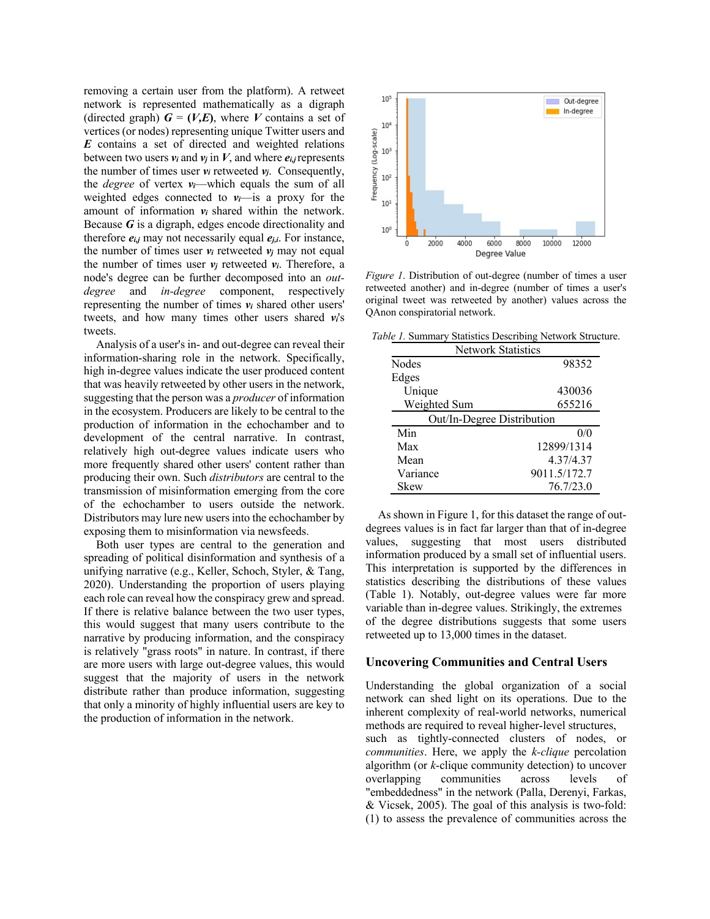removing a certain user from the platform). A retweet network is represented mathematically as a digraph (directed graph)  $G = (V,E)$ , where *V* contains a set of vertices (or nodes) representing unique Twitter users and *E* contains a set of directed and weighted relations between two users  $v_i$  and  $v_j$  in  $V$ , and where  $e_{i,j}$  represents the number of times user  $v_i$  retweeted  $v_j$ . Consequently, the *degree* of vertex  $v_i$ —which equals the sum of all weighted edges connected to  $v_i$ —is a proxy for the amount of information *vi* shared within the network. Because *G* is a digraph, edges encode directionality and therefore  $e_{i,j}$  may not necessarily equal  $e_{i,j}$ . For instance, the number of times user  $v_i$  retweeted  $v_i$  may not equal the number of times user  $v_i$  retweeted  $v_i$ . Therefore, a node's degree can be further decomposed into an *outdegree* and *in-degree* component, respectively representing the number of times  $v_i$  shared other users' tweets, and how many times other users shared *vi*'s tweets.

Analysis of a user's in- and out-degree can reveal their information-sharing role in the network. Specifically, high in-degree values indicate the user produced content that was heavily retweeted by other users in the network, suggesting that the person was a *producer* of information in the ecosystem. Producers are likely to be central to the production of information in the echochamber and to development of the central narrative. In contrast, relatively high out-degree values indicate users who more frequently shared other users' content rather than producing their own. Such *distributors* are central to the transmission of misinformation emerging from the core of the echochamber to users outside the network. Distributors may lure new users into the echochamber by exposing them to misinformation via newsfeeds.

Both user types are central to the generation and spreading of political disinformation and synthesis of a unifying narrative (e.g., Keller, Schoch, Styler, & Tang, 2020). Understanding the proportion of users playing each role can reveal how the conspiracy grew and spread. If there is relative balance between the two user types, this would suggest that many users contribute to the narrative by producing information, and the conspiracy is relatively "grass roots" in nature. In contrast, if there are more users with large out-degree values, this would suggest that the majority of users in the network distribute rather than produce information, suggesting that only a minority of highly influential users are key to the production of information in the network.



*Figure 1*. Distribution of out-degree (number of times a user retweeted another) and in-degree (number of times a user's original tweet was retweeted by another) values across the QAnon conspiratorial network.

*Table 1.* Summary Statistics Describing Network Structure.

| <b>Network Statistics</b>  |              |  |  |  |
|----------------------------|--------------|--|--|--|
| <b>Nodes</b>               | 98352        |  |  |  |
| Edges                      |              |  |  |  |
| Unique                     | 430036       |  |  |  |
| Weighted Sum               | 655216       |  |  |  |
| Out/In-Degree Distribution |              |  |  |  |
| Min                        | 0/0          |  |  |  |
| Max                        | 12899/1314   |  |  |  |
| Mean                       | 4.37/4.37    |  |  |  |
| Variance                   | 9011.5/172.7 |  |  |  |
| <b>Skew</b>                | 76.7/23.0    |  |  |  |

As shown in Figure 1, for this dataset the range of outdegrees values is in fact far larger than that of in-degree values, suggesting that most users distributed information produced by a small set of influential users. This interpretation is supported by the differences in statistics describing the distributions of these values (Table 1). Notably, out-degree values were far more variable than in-degree values. Strikingly, the extremes of the degree distributions suggests that some users retweeted up to 13,000 times in the dataset.

#### **Uncovering Communities and Central Users**

Understanding the global organization of a social network can shed light on its operations. Due to the inherent complexity of real-world networks, numerical methods are required to reveal higher-level structures, such as tightly-connected clusters of nodes, or *communities*. Here, we apply the *k-clique* percolation algorithm (or *k*-clique community detection) to uncover overlapping communities across levels of "embeddedness" in the network (Palla, Derenyi, Farkas, & Vicsek, 2005). The goal of this analysis is two-fold: (1) to assess the prevalence of communities across the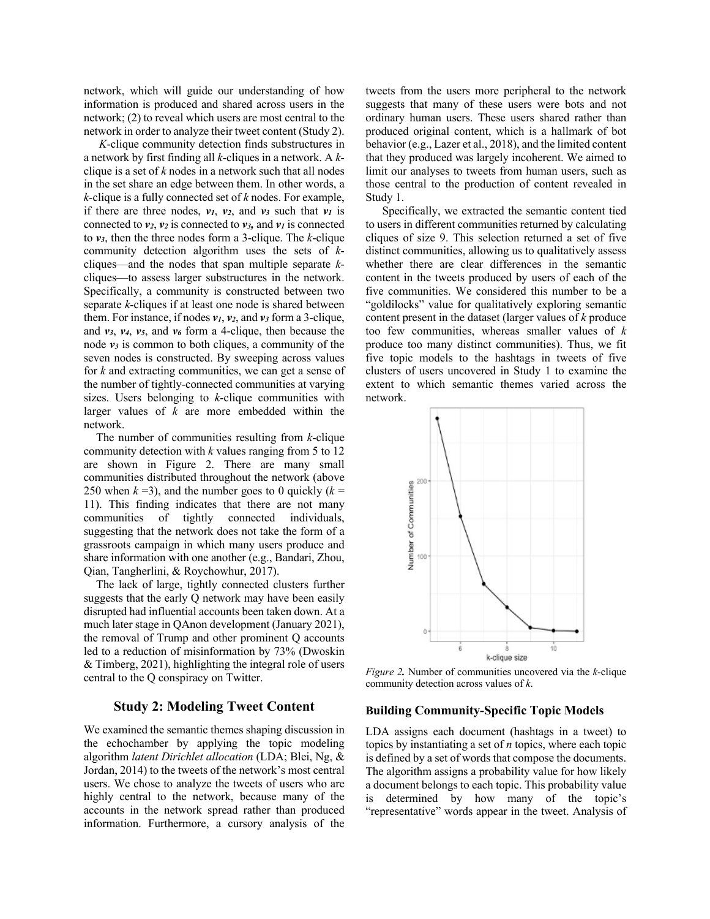network, which will guide our understanding of how information is produced and shared across users in the network; (2) to reveal which users are most central to the network in order to analyze their tweet content (Study 2).

*K*-clique community detection finds substructures in a network by first finding all *k*-cliques in a network. A *k*clique is a set of *k* nodes in a network such that all nodes in the set share an edge between them. In other words, a *k*-clique is a fully connected set of *k* nodes. For example, if there are three nodes,  $v_1$ ,  $v_2$ , and  $v_3$  such that  $v_1$  is connected to  $v_2$ ,  $v_2$  is connected to  $v_3$ , and  $v_1$  is connected to *v3*, then the three nodes form a 3-clique. The *k*-clique community detection algorithm uses the sets of *k*cliques––and the nodes that span multiple separate *k*cliques––to assess larger substructures in the network. Specifically, a community is constructed between two separate *k*-cliques if at least one node is shared between them. For instance, if nodes *v1*, *v2*, and *v3* form a 3-clique, and  $v_3$ ,  $v_4$ ,  $v_5$ , and  $v_6$  form a 4-clique, then because the node *v3* is common to both cliques, a community of the seven nodes is constructed. By sweeping across values for *k* and extracting communities, we can get a sense of the number of tightly-connected communities at varying sizes. Users belonging to *k*-clique communities with larger values of *k* are more embedded within the network.

The number of communities resulting from *k*-clique community detection with *k* values ranging from 5 to 12 are shown in Figure 2. There are many small communities distributed throughout the network (above 250 when  $k = 3$ ), and the number goes to 0 quickly ( $k =$ 11). This finding indicates that there are not many communities of tightly connected individuals, suggesting that the network does not take the form of a grassroots campaign in which many users produce and share information with one another (e.g., Bandari, Zhou, Qian, Tangherlini, & Roychowhur, 2017).

The lack of large, tightly connected clusters further suggests that the early Q network may have been easily disrupted had influential accounts been taken down. At a much later stage in QAnon development (January 2021), the removal of Trump and other prominent Q accounts led to a reduction of misinformation by 73% (Dwoskin & Timberg, 2021), highlighting the integral role of users central to the Q conspiracy on Twitter.

## **Study 2: Modeling Tweet Content**

We examined the semantic themes shaping discussion in the echochamber by applying the topic modeling algorithm *latent Dirichlet allocation* (LDA; Blei, Ng, & Jordan, 2014) to the tweets of the network's most central users. We chose to analyze the tweets of users who are highly central to the network, because many of the accounts in the network spread rather than produced information. Furthermore, a cursory analysis of the

tweets from the users more peripheral to the network suggests that many of these users were bots and not ordinary human users. These users shared rather than produced original content, which is a hallmark of bot behavior (e.g., Lazer et al., 2018), and the limited content that they produced was largely incoherent. We aimed to limit our analyses to tweets from human users, such as those central to the production of content revealed in Study 1.

Specifically, we extracted the semantic content tied to users in different communities returned by calculating cliques of size 9. This selection returned a set of five distinct communities, allowing us to qualitatively assess whether there are clear differences in the semantic content in the tweets produced by users of each of the five communities. We considered this number to be a "goldilocks" value for qualitatively exploring semantic content present in the dataset (larger values of *k* produce too few communities, whereas smaller values of *k*  produce too many distinct communities). Thus, we fit five topic models to the hashtags in tweets of five clusters of users uncovered in Study 1 to examine the extent to which semantic themes varied across the network.



*Figure 2.* Number of communities uncovered via the *k*-clique community detection across values of *k*.

#### **Building Community-Specific Topic Models**

LDA assigns each document (hashtags in a tweet) to topics by instantiating a set of *n* topics, where each topic is defined by a set of words that compose the documents. The algorithm assigns a probability value for how likely a document belongs to each topic. This probability value is determined by how many of the topic's "representative" words appear in the tweet. Analysis of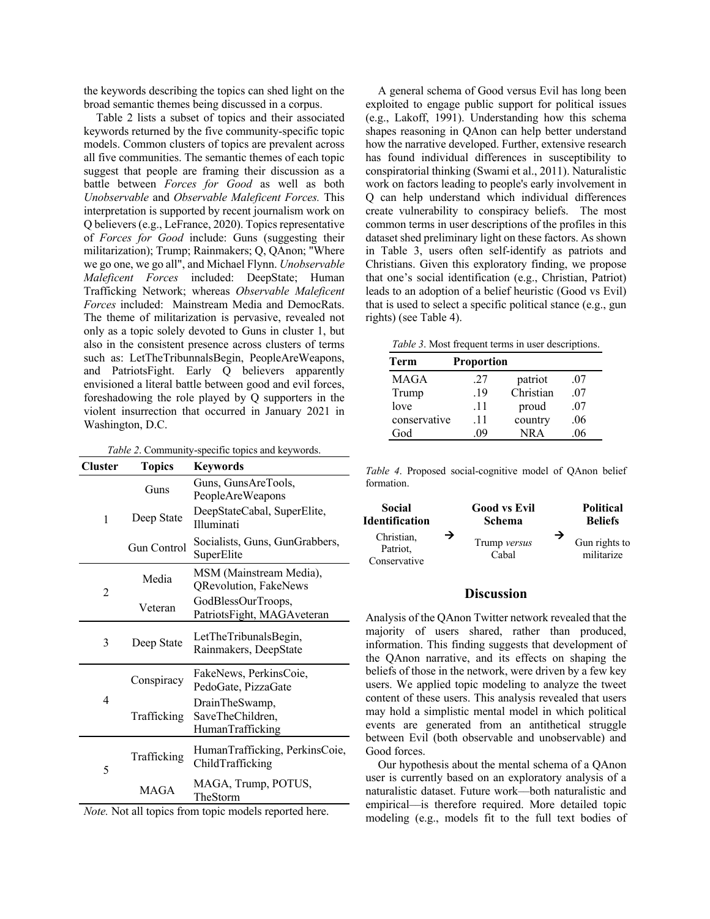the keywords describing the topics can shed light on the broad semantic themes being discussed in a corpus.

Table 2 lists a subset of topics and their associated keywords returned by the five community-specific topic models. Common clusters of topics are prevalent across all five communities. The semantic themes of each topic suggest that people are framing their discussion as a battle between *Forces for Good* as well as both *Unobservable* and *Observable Maleficent Forces.* This interpretation is supported by recent journalism work on Q believers (e.g., LeFrance, 2020). Topics representative of *Forces for Good* include: Guns (suggesting their militarization); Trump; Rainmakers; Q, QAnon; "Where we go one, we go all", and Michael Flynn. *Unobservable Maleficent Forces* included: DeepState; Human Trafficking Network; whereas *Observable Maleficent Forces* included: Mainstream Media and DemocRats. The theme of militarization is pervasive, revealed not only as a topic solely devoted to Guns in cluster 1, but also in the consistent presence across clusters of terms such as: LetTheTribunnalsBegin, PeopleAreWeapons, and PatriotsFight. Early Q believers apparently envisioned a literal battle between good and evil forces, foreshadowing the role played by Q supporters in the violent insurrection that occurred in January 2021 in Washington, D.C.

*Table 2*. Community-specific topics and keywords.

| Cluster | <b>Topics</b> | Keywords                                                |  |  |
|---------|---------------|---------------------------------------------------------|--|--|
|         | Guns          | Guns, GunsAreTools,<br>PeopleAreWeapons                 |  |  |
| 1       | Deep State    | DeepStateCabal, SuperElite,<br><b>Illuminati</b>        |  |  |
|         | Gun Control   | Socialists, Guns, GunGrabbers,<br>SuperElite            |  |  |
| 2       | Media         | MSM (Mainstream Media),<br><b>QRevolution, FakeNews</b> |  |  |
|         | Veteran       | GodBlessOurTroops,<br>PatriotsFight, MAGAveteran        |  |  |
| 3       | Deep State    | LetTheTribunalsBegin,<br>Rainmakers, DeepState          |  |  |
| 4       | Conspiracy    | FakeNews, PerkinsCoie,<br>PedoGate, PizzaGate           |  |  |
|         | Trafficking   | DrainTheSwamp,<br>SaveTheChildren,<br>HumanTrafficking  |  |  |
| 5       | Trafficking   | HumanTrafficking, PerkinsCoie,<br>ChildTrafficking      |  |  |
|         | MAGA          | MAGA, Trump, POTUS,<br>TheStorm                         |  |  |

*Note.* Not all topics from topic models reported here.

A general schema of Good versus Evil has long been exploited to engage public support for political issues (e.g., Lakoff, 1991). Understanding how this schema shapes reasoning in QAnon can help better understand how the narrative developed. Further, extensive research has found individual differences in susceptibility to conspiratorial thinking (Swami et al., 2011). Naturalistic work on factors leading to people's early involvement in Q can help understand which individual differences create vulnerability to conspiracy beliefs. The most common terms in user descriptions of the profiles in this dataset shed preliminary light on these factors. As shown in Table 3, users often self-identify as patriots and Christians. Given this exploratory finding, we propose that one's social identification (e.g., Christian, Patriot) leads to an adoption of a belief heuristic (Good vs Evil) that is used to select a specific political stance (e.g., gun rights) (see Table 4).

|  |  | <i>Table 3.</i> Most frequent terms in user descriptions. |
|--|--|-----------------------------------------------------------|
|  |  |                                                           |

| Term         | <b>Proportion</b> |           |     |  |
|--------------|-------------------|-----------|-----|--|
| <b>MAGA</b>  | .27               | patriot   | .07 |  |
| Trump        | .19               | Christian | .07 |  |
| love         | .11               | proud     | .07 |  |
| conservative | .11               | country   | .06 |  |
| God          | 09                | NR A      | 06  |  |

*Table 4*. Proposed social-cognitive model of QAnon belief formation.



## **Discussion**

Analysis of the QAnon Twitter network revealed that the majority of users shared, rather than produced, information. This finding suggests that development of the QAnon narrative, and its effects on shaping the beliefs of those in the network, were driven by a few key users. We applied topic modeling to analyze the tweet content of these users. This analysis revealed that users may hold a simplistic mental model in which political events are generated from an antithetical struggle between Evil (both observable and unobservable) and Good forces.

Our hypothesis about the mental schema of a QAnon user is currently based on an exploratory analysis of a naturalistic dataset. Future work––both naturalistic and empirical––is therefore required. More detailed topic modeling (e.g., models fit to the full text bodies of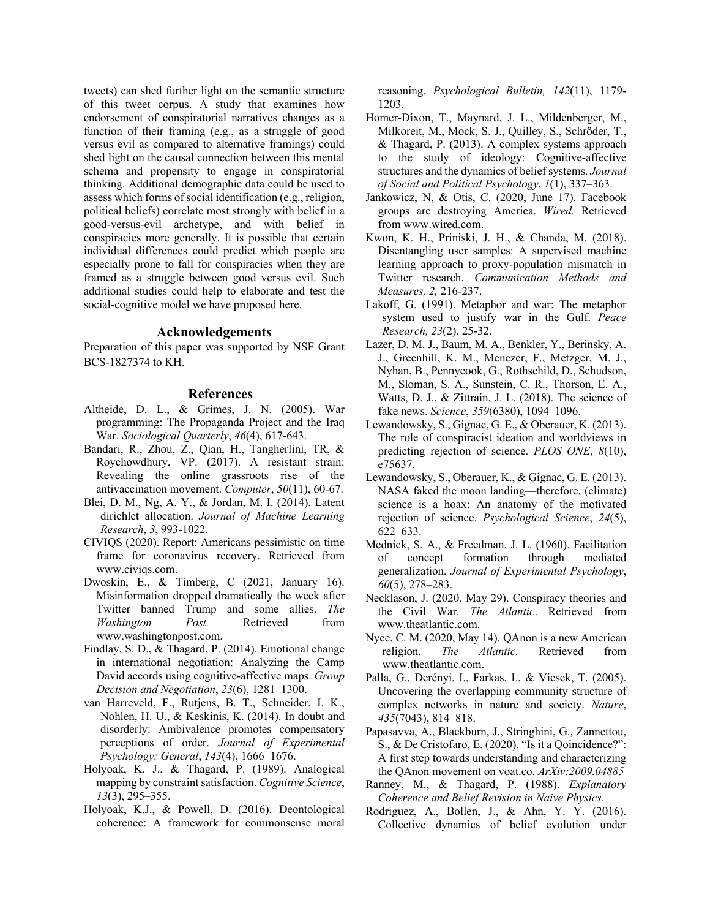tweets) can shed further light on the semantic structure of this tweet corpus. A study that examines how endorsement of conspiratorial narratives changes as a function of their framing (e.g., as a struggle of good versus evil as compared to alternative framings) could shed light on the causal connection between this mental schema and propensity to engage in conspiratorial thinking. Additional demographic data could be used to assess which forms of social identification (e.g., religion, political beliefs) correlate most strongly with belief in a good-versus-evil archetype, and with belief in conspiracies more generally. It is possible that certain individual differences could predict which people are especially prone to fall for conspiracies when they are framed as a struggle between good versus evil. Such additional studies could help to elaborate and test the social-cognitive model we have proposed here.

#### **Acknowledgements**

Preparation of this paper was supported by NSF Grant BCS-1827374 to KH.

#### **References**

- Altheide, D. L., & Grimes, J. N. (2005). War programming: The Propaganda Project and the Iraq War. *Sociological Quarterly*, *46*(4), 617-643.
- Bandari, R., Zhou, Z., Qian, H., Tangherlini, TR, & Roychowdhury, VP. (2017). A resistant strain: Revealing the online grassroots rise of the antivaccination movement. *Computer*, *50*(11), 60-67.
- Blei, D. M., Ng, A. Y., & Jordan, M. I. (2014). Latent dirichlet allocation. *Journal of Machine Learning Research*, *3*, 993-1022.
- CIVIQS (2020). Report: Americans pessimistic on time frame for coronavirus recovery. Retrieved from www.civiqs.com.
- Dwoskin, E., & Timberg, C (2021, January 16). Misinformation dropped dramatically the week after Twitter banned Trump and some allies. *The Washington Post.* Retrieved from www.washingtonpost.com.
- Findlay, S. D., & Thagard, P. (2014). Emotional change in international negotiation: Analyzing the Camp David accords using cognitive-affective maps. *Group Decision and Negotiation*, *23*(6), 1281–1300.
- van Harreveld, F., Rutjens, B. T., Schneider, I. K., Nohlen, H. U., & Keskinis, K. (2014). In doubt and disorderly: Ambivalence promotes compensatory perceptions of order. *Journal of Experimental Psychology: General*, *143*(4), 1666–1676.
- Holyoak, K. J., & Thagard, P. (1989). Analogical mapping by constraint satisfaction. *Cognitive Science*, *13*(3), 295–355.
- Holyoak, K.J., & Powell, D. (2016). Deontological coherence: A framework for commonsense moral

reasoning. *Psychological Bulletin, 142*(11), 1179- 1203.

- Homer-Dixon, T., Maynard, J. L., Mildenberger, M., Milkoreit, M., Mock, S. J., Quilley, S., Schröder, T., & Thagard, P. (2013). A complex systems approach to the study of ideology: Cognitive-affective structures and the dynamics of belief systems. *Journal of Social and Political Psychology*, *1*(1), 337–363.
- Jankowicz, N, & Otis, C. (2020, June 17). Facebook groups are destroying America. *Wired.* Retrieved from www.wired.com.
- Kwon, K. H., Priniski, J. H., & Chanda, M. (2018). Disentangling user samples: A supervised machine learning approach to proxy-population mismatch in Twitter research. *Communication Methods and Measures, 2,* 216-237.
- Lakoff, G. (1991). Metaphor and war: The metaphor system used to justify war in the Gulf. *Peace Research, 23*(2), 25-32.
- Lazer, D. M. J., Baum, M. A., Benkler, Y., Berinsky, A. J., Greenhill, K. M., Menczer, F., Metzger, M. J., Nyhan, B., Pennycook, G., Rothschild, D., Schudson, M., Sloman, S. A., Sunstein, C. R., Thorson, E. A., Watts, D. J., & Zittrain, J. L. (2018). The science of fake news. *Science*, *359*(6380), 1094–1096.
- Lewandowsky, S., Gignac, G. E., & Oberauer, K. (2013). The role of conspiracist ideation and worldviews in predicting rejection of science. *PLOS ONE*, *8*(10), e75637.
- Lewandowsky, S., Oberauer, K., & Gignac, G. E. (2013). NASA faked the moon landing—therefore, (climate) science is a hoax: An anatomy of the motivated rejection of science. *Psychological Science*, *24*(5), 622–633.
- Mednick, S. A., & Freedman, J. L. (1960). Facilitation of concept formation through mediated generalization. *Journal of Experimental Psychology*, *60*(5), 278–283.
- Necklason, J. (2020, May 29). Conspiracy theories and the Civil War. *The Atlantic*. Retrieved from www.theatlantic.com.
- Nyce, C. M. (2020, May 14). QAnon is a new American religion. *The Atlantic.* Retrieved from www.theatlantic.com.
- Palla, G., Derényi, I., Farkas, I., & Vicsek, T. (2005). Uncovering the overlapping community structure of complex networks in nature and society. *Nature*, *435*(7043), 814–818.
- Papasavva, A., Blackburn, J., Stringhini, G., Zannettou, S., & De Cristofaro, E. (2020). "Is it a Qoincidence?": A first step towards understanding and characterizing the QAnon movement on voat.co. *ArXiv:2009.04885*
- Ranney, M., & Thagard, P. (1988). *Explanatory Coherence and Belief Revision in Naive Physics.*
- Rodriguez, A., Bollen, J., & Ahn, Y. Y. (2016). Collective dynamics of belief evolution under